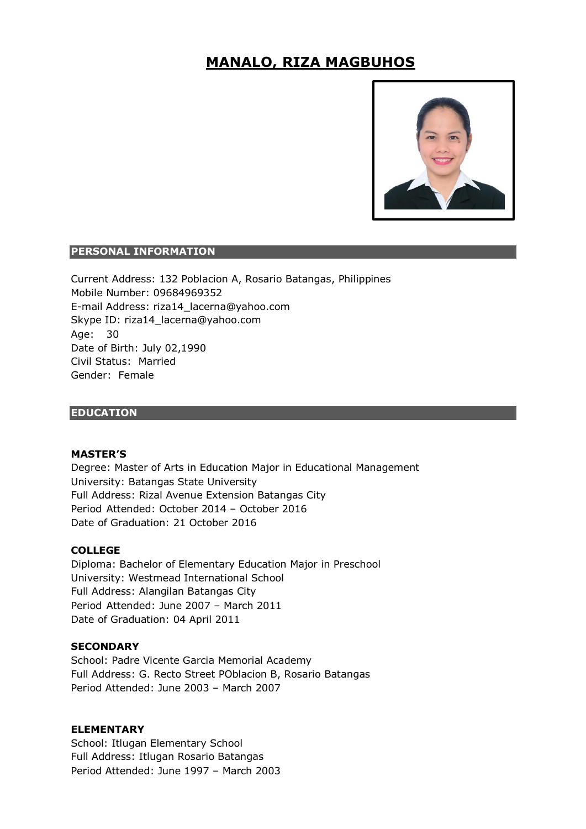# **MANALO, RIZA MAGBUHOS**



### **PERSONAL INFORMATION**

Current Address: 132 Poblacion A, Rosario Batangas, Philippines Mobile Number: 09684969352 E-mail Address: riza14\_lacerna@yahoo.com Skype ID: riza14\_lacerna@yahoo.com Age: 30 Date of Birth: July 02,1990 Civil Status: Married Gender: Female

### **EDUCATION**

#### **MASTER'S**

Degree: Master of Arts in Education Major in Educational Management University: Batangas State University Full Address: Rizal Avenue Extension Batangas City Period Attended: October 2014 – October 2016 Date of Graduation: 21 October 2016

#### **COLLEGE**

Diploma: Bachelor of Elementary Education Major in Preschool University: Westmead International School Full Address: Alangilan Batangas City Period Attended: June 2007 – March 2011 Date of Graduation: 04 April 2011

### **SECONDARY**

School: Padre Vicente Garcia Memorial Academy Full Address: G. Recto Street POblacion B, Rosario Batangas Period Attended: June 2003 – March 2007

## **ELEMENTARY**

School: Itlugan Elementary School Full Address: Itlugan Rosario Batangas Period Attended: June 1997 – March 2003